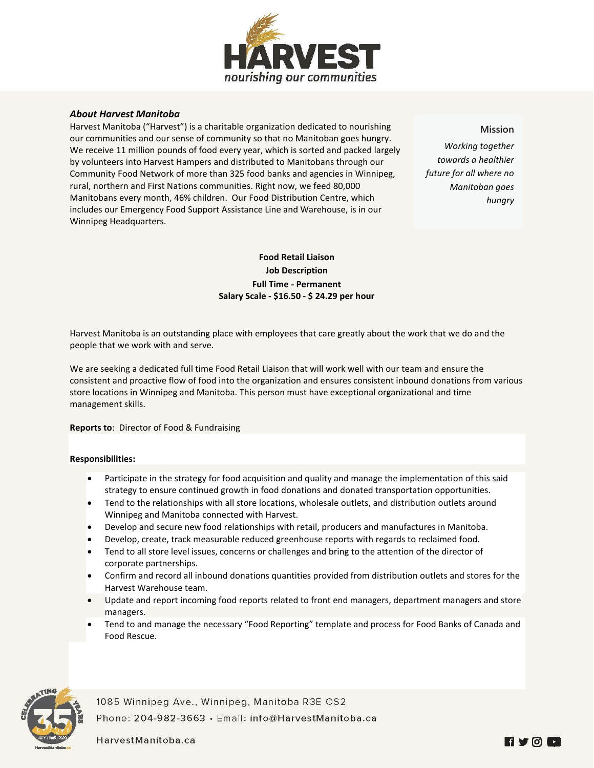

## *About Harvest Manitoba*

Harvest Manitoba ("Harvest") is a charitable organization dedicated to nourishing our communities and our sense of community so that no Manitoban goes hungry. We receive 11 million pounds of food every year, which is sorted and packed largely by volunteers into Harvest Hampers and distributed to Manitobans through our Community Food Network of more than 325 food banks and agencies in Winnipeg, rural, northern and First Nations communities. Right now, we feed 80,000 Manitobans every month, 46% children. Our Food Distribution Centre, which includes our Emergency Food Support Assistance Line and Warehouse, is in our Winnipeg Headquarters.

**Mission**

*Working together towards a healthier future for all where no Manitoban goes hungry*

# **Food Retail Liaison Job Description Full Time - Permanent Salary Scale - \$16.50 - \$ 24.29 per hour**

Harvest Manitoba is an outstanding place with employees that care greatly about the work that we do and the people that we work with and serve.

We are seeking a dedicated full time Food Retail Liaison that will work well with our team and ensure the consistent and proactive flow of food into the organization and ensures consistent inbound donations from various store locations in Winnipeg and Manitoba. This person must have exceptional organizational and time management skills.

#### **Reports to**: Director of Food & Fundraising

#### **Responsibilities:**

- Participate in the strategy for food acquisition and quality and manage the implementation of this said strategy to ensure continued growth in food donations and donated transportation opportunities.
- Tend to the relationships with all store locations, wholesale outlets, and distribution outlets around Winnipeg and Manitoba connected with Harvest.
- Develop and secure new food relationships with retail, producers and manufactures in Manitoba.
- Develop, create, track measurable reduced greenhouse reports with regards to reclaimed food.
- Tend to all store level issues, concerns or challenges and bring to the attention of the director of corporate partnerships.
- Confirm and record all inbound donations quantities provided from distribution outlets and stores for the Harvest Warehouse team.
- Update and report incoming food reports related to front end managers, department managers and store managers.
- Tend to and manage the necessary "Food Reporting" template and process for Food Banks of Canada and Food Rescue.



1085 Winnipeg Ave., Winnipeg, Manitoba R3E OS2 Phone: 204-982-3663 · Email: info@HarvestManitoba.ca